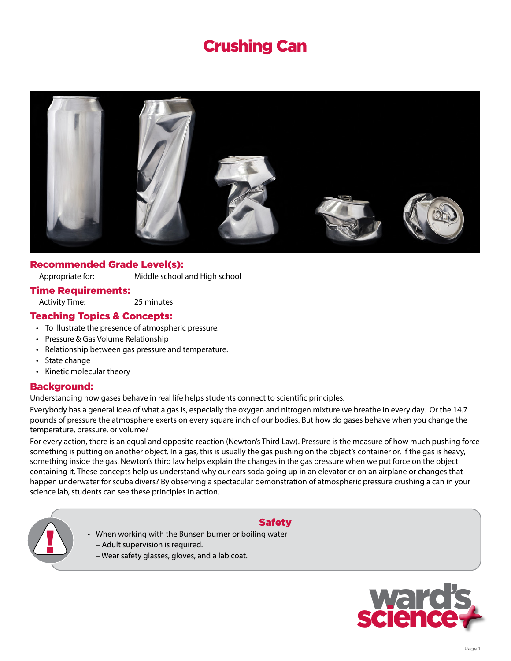# Crushing Can



## Recommended Grade Level(s):

Appropriate for: Middle school and High school

#### Time Requirements:

Activity Time: 25 minutes

# Teaching Topics & Concepts:

- To illustrate the presence of atmospheric pressure.
- Pressure & Gas Volume Relationship
- Relationship between gas pressure and temperature.
- State change
- Kinetic molecular theory

## Background:

Understanding how gases behave in real life helps students connect to scientific principles.

Everybody has a general idea of what a gas is, especially the oxygen and nitrogen mixture we breathe in every day. Or the 14.7 pounds of pressure the atmosphere exerts on every square inch of our bodies. But how do gases behave when you change the temperature, pressure, or volume?

For every action, there is an equal and opposite reaction (Newton's Third Law). Pressure is the measure of how much pushing force something is putting on another object. In a gas, this is usually the gas pushing on the object's container or, if the gas is heavy, something inside the gas. Newton's third law helps explain the changes in the gas pressure when we put force on the object containing it. These concepts help us understand why our ears soda going up in an elevator or on an airplane or changes that happen underwater for scuba divers? By observing a spectacular demonstration of atmospheric pressure crushing a can in your science lab, students can see these principles in action.



# Safety

- When working with the Bunsen burner or boiling water<br>
Adult supervision is required.<br>
Wear safety glasses, gloves, and a lab coat. – Adult supervision is required.
	-

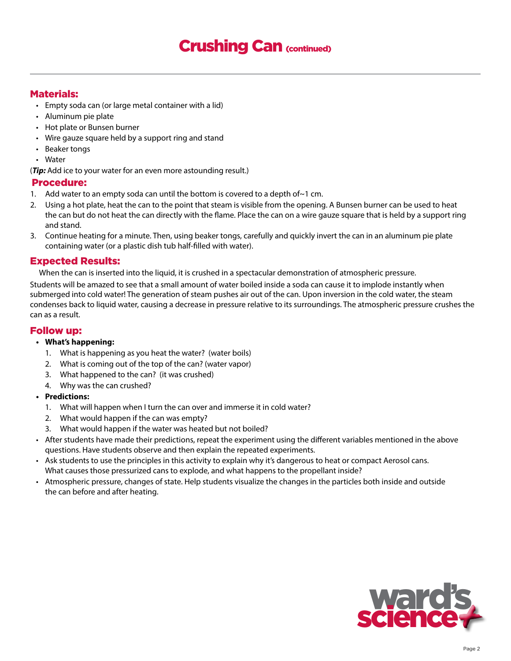# Crushing Can (continued)

# Materials:

- Empty soda can (or large metal container with a lid)
- Aluminum pie plate
- Hot plate or Bunsen burner
- Wire gauze square held by a support ring and stand
- Beaker tongs
- Water

(*Tip:* Add ice to your water for an even more astounding result.)

## Procedure:

- 1. Add water to an empty soda can until the bottom is covered to a depth of $\sim$ 1 cm.
- 2. Using a hot plate, heat the can to the point that steam is visible from the opening. A Bunsen burner can be used to heat the can but do not heat the can directly with the flame. Place the can on a wire gauze square that is held by a support ring and stand.
- 3. Continue heating for a minute. Then, using beaker tongs, carefully and quickly invert the can in an aluminum pie plate containing water (or a plastic dish tub half-filled with water).

# Expected Results:

When the can is inserted into the liquid, it is crushed in a spectacular demonstration of atmospheric pressure.

Students will be amazed to see that a small amount of water boiled inside a soda can cause it to implode instantly when submerged into cold water! The generation of steam pushes air out of the can. Upon inversion in the cold water, the steam condenses back to liquid water, causing a decrease in pressure relative to its surroundings. The atmospheric pressure crushes the can as a result.

## Follow up:

#### **• What's happening:**

- 1. What is happening as you heat the water? (water boils)
- 2. What is coming out of the top of the can? (water vapor)
- 3. What happened to the can? (it was crushed)
- 4. Why was the can crushed?

## **• Predictions:**

- 1. What will happen when I turn the can over and immerse it in cold water?
- 2. What would happen if the can was empty?
- 3. What would happen if the water was heated but not boiled?
- After students have made their predictions, repeat the experiment using the different variables mentioned in the above questions. Have students observe and then explain the repeated experiments.
- Ask students to use the principles in this activity to explain why it's dangerous to heat or compact Aerosol cans. What causes those pressurized cans to explode, and what happens to the propellant inside?
- Atmospheric pressure, changes of state. Help students visualize the changes in the particles both inside and outside the can before and after heating.